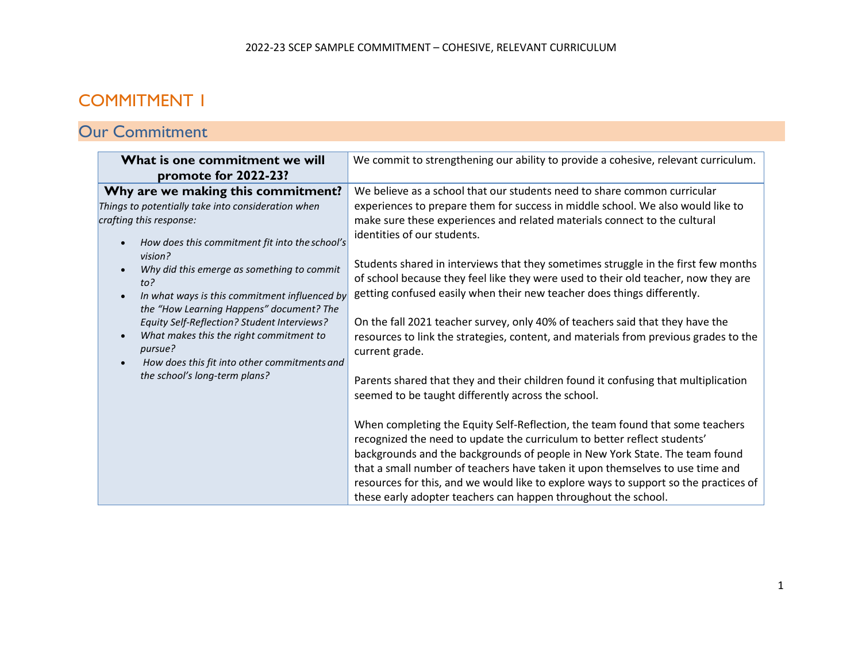## COMMITMENT 1

## Our Commitment

| What is one commitment we will<br>promote for 2022-23?                                                                                                                                                                                                                                                                                                                                                                                                                                                                                                                                    | We commit to strengthening our ability to provide a cohesive, relevant curriculum.                                                                                                                                                                                                                                                                                                                                                                                                                                                                                                                                                                                                                                                                                                                                                                                                                                                                                                                                                                                                                                                                                                                                                                                                         |
|-------------------------------------------------------------------------------------------------------------------------------------------------------------------------------------------------------------------------------------------------------------------------------------------------------------------------------------------------------------------------------------------------------------------------------------------------------------------------------------------------------------------------------------------------------------------------------------------|--------------------------------------------------------------------------------------------------------------------------------------------------------------------------------------------------------------------------------------------------------------------------------------------------------------------------------------------------------------------------------------------------------------------------------------------------------------------------------------------------------------------------------------------------------------------------------------------------------------------------------------------------------------------------------------------------------------------------------------------------------------------------------------------------------------------------------------------------------------------------------------------------------------------------------------------------------------------------------------------------------------------------------------------------------------------------------------------------------------------------------------------------------------------------------------------------------------------------------------------------------------------------------------------|
| Why are we making this commitment?<br>Things to potentially take into consideration when<br>crafting this response:<br>How does this commitment fit into the school's<br>$\bullet$<br>vision?<br>Why did this emerge as something to commit<br>$\bullet$<br>to?<br>In what ways is this commitment influenced by<br>$\bullet$<br>the "How Learning Happens" document? The<br>Equity Self-Reflection? Student Interviews?<br>What makes this the right commitment to<br>$\bullet$<br>pursue?<br>How does this fit into other commitments and<br>$\bullet$<br>the school's long-term plans? | We believe as a school that our students need to share common curricular<br>experiences to prepare them for success in middle school. We also would like to<br>make sure these experiences and related materials connect to the cultural<br>identities of our students.<br>Students shared in interviews that they sometimes struggle in the first few months<br>of school because they feel like they were used to their old teacher, now they are<br>getting confused easily when their new teacher does things differently.<br>On the fall 2021 teacher survey, only 40% of teachers said that they have the<br>resources to link the strategies, content, and materials from previous grades to the<br>current grade.<br>Parents shared that they and their children found it confusing that multiplication<br>seemed to be taught differently across the school.<br>When completing the Equity Self-Reflection, the team found that some teachers<br>recognized the need to update the curriculum to better reflect students'<br>backgrounds and the backgrounds of people in New York State. The team found<br>that a small number of teachers have taken it upon themselves to use time and<br>resources for this, and we would like to explore ways to support so the practices of |
|                                                                                                                                                                                                                                                                                                                                                                                                                                                                                                                                                                                           | these early adopter teachers can happen throughout the school.                                                                                                                                                                                                                                                                                                                                                                                                                                                                                                                                                                                                                                                                                                                                                                                                                                                                                                                                                                                                                                                                                                                                                                                                                             |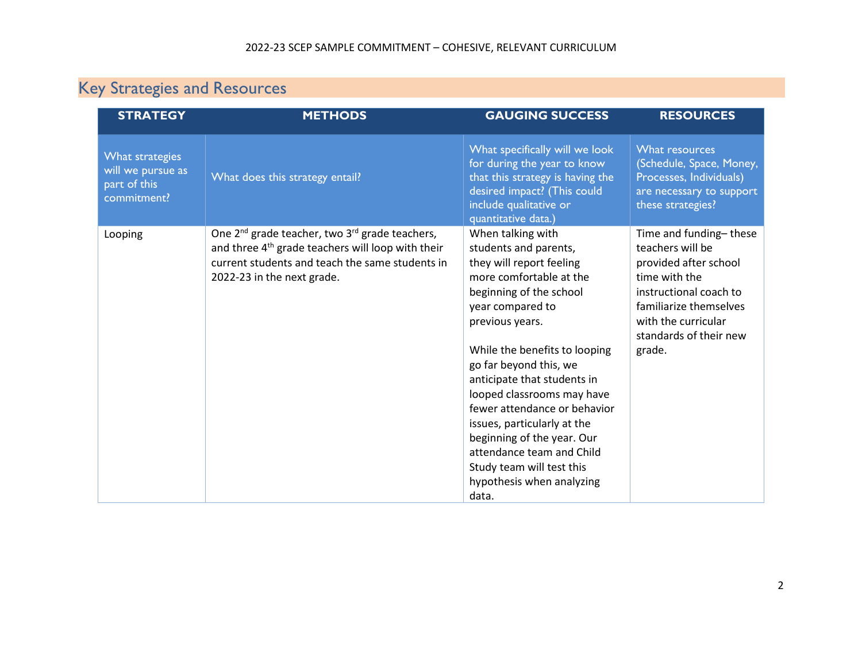# Key Strategies and Resources

| <b>STRATEGY</b>                                                     | <b>METHODS</b>                                                                                                                                                                                                           | <b>GAUGING SUCCESS</b>                                                                                                                                                                                                                                                                                                                                                                                                                                                                   | <b>RESOURCES</b>                                                                                                                                                                                    |
|---------------------------------------------------------------------|--------------------------------------------------------------------------------------------------------------------------------------------------------------------------------------------------------------------------|------------------------------------------------------------------------------------------------------------------------------------------------------------------------------------------------------------------------------------------------------------------------------------------------------------------------------------------------------------------------------------------------------------------------------------------------------------------------------------------|-----------------------------------------------------------------------------------------------------------------------------------------------------------------------------------------------------|
| What strategies<br>will we pursue as<br>part of this<br>commitment? | What does this strategy entail?                                                                                                                                                                                          | What specifically will we look<br>for during the year to know<br>that this strategy is having the<br>desired impact? (This could<br>include qualitative or<br>quantitative data.)                                                                                                                                                                                                                                                                                                        | What resources<br>(Schedule, Space, Money,<br>Processes, Individuals)<br>are necessary to support<br>these strategies?                                                                              |
| Looping                                                             | One 2 <sup>nd</sup> grade teacher, two 3 <sup>rd</sup> grade teachers,<br>and three 4 <sup>th</sup> grade teachers will loop with their<br>current students and teach the same students in<br>2022-23 in the next grade. | When talking with<br>students and parents,<br>they will report feeling<br>more comfortable at the<br>beginning of the school<br>year compared to<br>previous years.<br>While the benefits to looping<br>go far beyond this, we<br>anticipate that students in<br>looped classrooms may have<br>fewer attendance or behavior<br>issues, particularly at the<br>beginning of the year. Our<br>attendance team and Child<br>Study team will test this<br>hypothesis when analyzing<br>data. | Time and funding-these<br>teachers will be<br>provided after school<br>time with the<br>instructional coach to<br>familiarize themselves<br>with the curricular<br>standards of their new<br>grade. |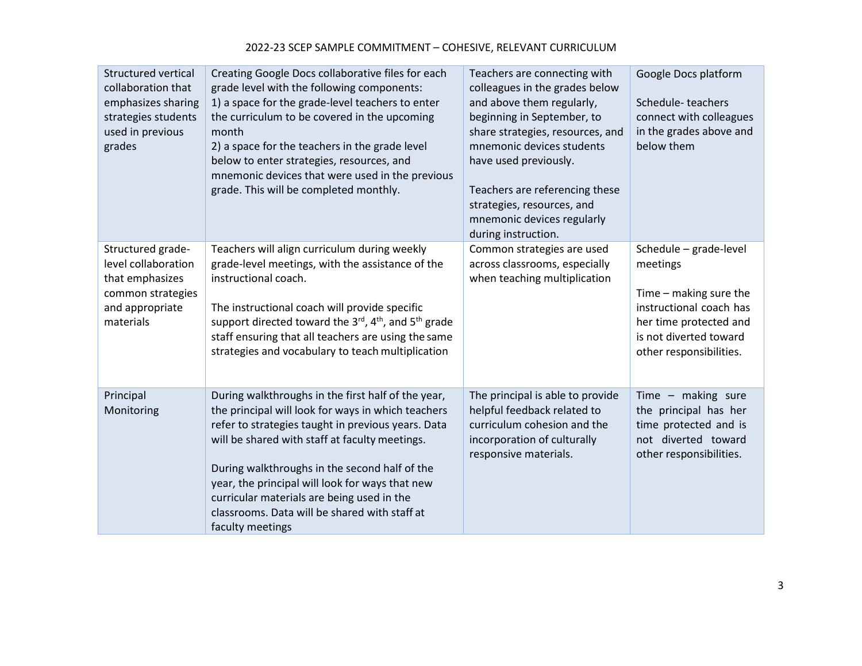| <b>Structured vertical</b><br>collaboration that<br>emphasizes sharing<br>strategies students<br>used in previous<br>grades | Creating Google Docs collaborative files for each<br>grade level with the following components:<br>1) a space for the grade-level teachers to enter<br>the curriculum to be covered in the upcoming<br>month<br>2) a space for the teachers in the grade level<br>below to enter strategies, resources, and<br>mnemonic devices that were used in the previous<br>grade. This will be completed monthly.                                | Teachers are connecting with<br>colleagues in the grades below<br>and above them regularly,<br>beginning in September, to<br>share strategies, resources, and<br>mnemonic devices students<br>have used previously.<br>Teachers are referencing these<br>strategies, resources, and<br>mnemonic devices regularly<br>during instruction. | Google Docs platform<br>Schedule-teachers<br>connect with colleagues<br>in the grades above and<br>below them                                                          |
|-----------------------------------------------------------------------------------------------------------------------------|-----------------------------------------------------------------------------------------------------------------------------------------------------------------------------------------------------------------------------------------------------------------------------------------------------------------------------------------------------------------------------------------------------------------------------------------|------------------------------------------------------------------------------------------------------------------------------------------------------------------------------------------------------------------------------------------------------------------------------------------------------------------------------------------|------------------------------------------------------------------------------------------------------------------------------------------------------------------------|
| Structured grade-<br>level collaboration<br>that emphasizes<br>common strategies<br>and appropriate<br>materials            | Teachers will align curriculum during weekly<br>grade-level meetings, with the assistance of the<br>instructional coach.<br>The instructional coach will provide specific<br>support directed toward the 3 <sup>rd</sup> , 4 <sup>th</sup> , and 5 <sup>th</sup> grade<br>staff ensuring that all teachers are using the same<br>strategies and vocabulary to teach multiplication                                                      | Common strategies are used<br>across classrooms, especially<br>when teaching multiplication                                                                                                                                                                                                                                              | Schedule - grade-level<br>meetings<br>Time - making sure the<br>instructional coach has<br>her time protected and<br>is not diverted toward<br>other responsibilities. |
| Principal<br>Monitoring                                                                                                     | During walkthroughs in the first half of the year,<br>the principal will look for ways in which teachers<br>refer to strategies taught in previous years. Data<br>will be shared with staff at faculty meetings.<br>During walkthroughs in the second half of the<br>year, the principal will look for ways that new<br>curricular materials are being used in the<br>classrooms. Data will be shared with staff at<br>faculty meetings | The principal is able to provide<br>helpful feedback related to<br>curriculum cohesion and the<br>incorporation of culturally<br>responsive materials.                                                                                                                                                                                   | Time $-$ making sure<br>the principal has her<br>time protected and is<br>not diverted toward<br>other responsibilities.                                               |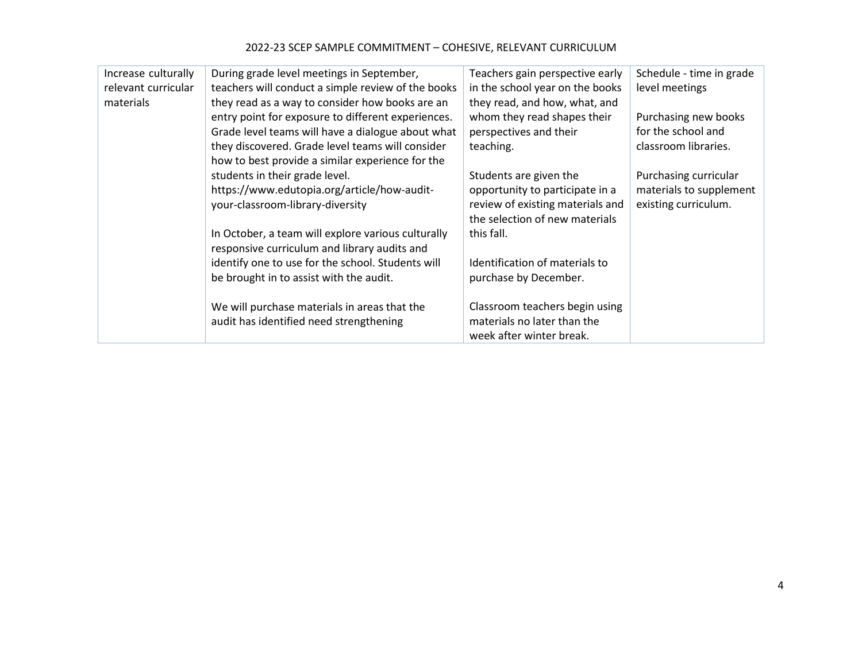#### 2022-23 SCEP SAMPLE COMMITMENT – COHESIVE, RELEVANT CURRICULUM

| Increase culturally<br>relevant curricular | During grade level meetings in September,<br>teachers will conduct a simple review of the books                                                                                                                                                                    | Teachers gain perspective early<br>in the school year on the books                                                              | Schedule - time in grade<br>level meetings                               |
|--------------------------------------------|--------------------------------------------------------------------------------------------------------------------------------------------------------------------------------------------------------------------------------------------------------------------|---------------------------------------------------------------------------------------------------------------------------------|--------------------------------------------------------------------------|
| materials                                  | they read as a way to consider how books are an<br>entry point for exposure to different experiences.<br>Grade level teams will have a dialogue about what<br>they discovered. Grade level teams will consider<br>how to best provide a similar experience for the | they read, and how, what, and<br>whom they read shapes their<br>perspectives and their<br>teaching.                             | Purchasing new books<br>for the school and<br>classroom libraries.       |
|                                            | students in their grade level.<br>https://www.edutopia.org/article/how-audit-<br>your-classroom-library-diversity                                                                                                                                                  | Students are given the<br>opportunity to participate in a<br>review of existing materials and<br>the selection of new materials | Purchasing curricular<br>materials to supplement<br>existing curriculum. |
|                                            | In October, a team will explore various culturally<br>responsive curriculum and library audits and<br>identify one to use for the school. Students will                                                                                                            | this fall.<br>Identification of materials to                                                                                    |                                                                          |
|                                            | be brought in to assist with the audit.                                                                                                                                                                                                                            | purchase by December.                                                                                                           |                                                                          |
|                                            | We will purchase materials in areas that the<br>audit has identified need strengthening                                                                                                                                                                            | Classroom teachers begin using<br>materials no later than the<br>week after winter break.                                       |                                                                          |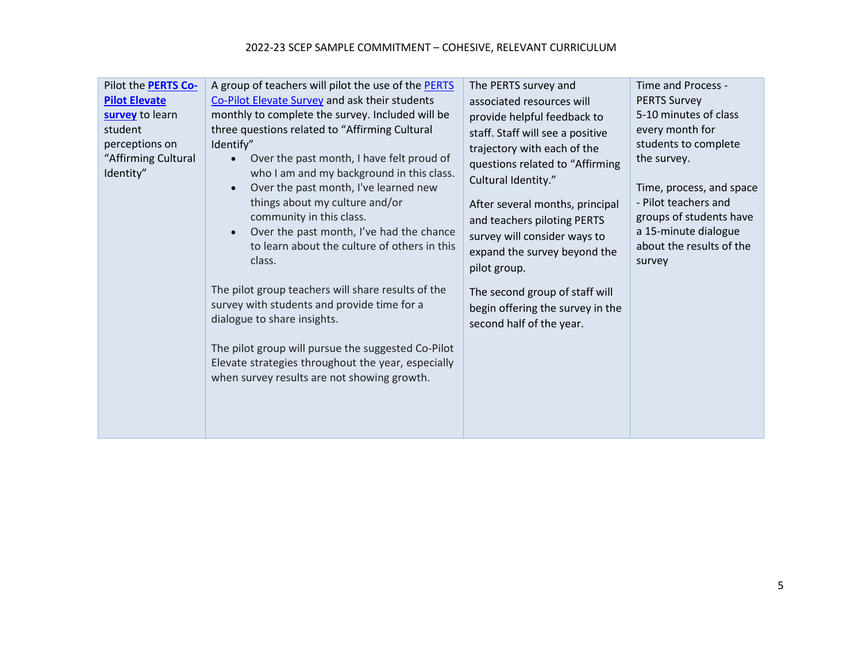#### 2022-23 SCEP SAMPLE COMMITMENT – COHESIVE, RELEVANT CURRICULUM

| Pilot the <b>PERTS Co-</b><br><b>Pilot Elevate</b><br>survey to learn<br>student<br>perceptions on<br>"Affirming Cultural<br>Identity" | A group of teachers will pilot the use of the PERTS<br>Co-Pilot Elevate Survey and ask their students<br>monthly to complete the survey. Included will be<br>three questions related to "Affirming Cultural<br>Identify"<br>Over the past month, I have felt proud of<br>who I am and my background in this class.<br>Over the past month, I've learned new<br>things about my culture and/or<br>community in this class.<br>Over the past month, I've had the chance<br>to learn about the culture of others in this<br>class.<br>The pilot group teachers will share results of the<br>survey with students and provide time for a<br>dialogue to share insights.<br>The pilot group will pursue the suggested Co-Pilot<br>Elevate strategies throughout the year, especially<br>when survey results are not showing growth. | The PERTS survey and<br>associated resources will<br>provide helpful feedback to<br>staff. Staff will see a positive<br>trajectory with each of the<br>questions related to "Affirming<br>Cultural Identity."<br>After several months, principal<br>and teachers piloting PERTS<br>survey will consider ways to<br>expand the survey beyond the<br>pilot group.<br>The second group of staff will<br>begin offering the survey in the<br>second half of the year. | Time and Process -<br><b>PERTS Survey</b><br>5-10 minutes of class<br>every month for<br>students to complete<br>the survey.<br>Time, process, and space<br>- Pilot teachers and<br>groups of students have<br>a 15-minute dialogue<br>about the results of the<br>survey |
|----------------------------------------------------------------------------------------------------------------------------------------|--------------------------------------------------------------------------------------------------------------------------------------------------------------------------------------------------------------------------------------------------------------------------------------------------------------------------------------------------------------------------------------------------------------------------------------------------------------------------------------------------------------------------------------------------------------------------------------------------------------------------------------------------------------------------------------------------------------------------------------------------------------------------------------------------------------------------------|-------------------------------------------------------------------------------------------------------------------------------------------------------------------------------------------------------------------------------------------------------------------------------------------------------------------------------------------------------------------------------------------------------------------------------------------------------------------|---------------------------------------------------------------------------------------------------------------------------------------------------------------------------------------------------------------------------------------------------------------------------|
|----------------------------------------------------------------------------------------------------------------------------------------|--------------------------------------------------------------------------------------------------------------------------------------------------------------------------------------------------------------------------------------------------------------------------------------------------------------------------------------------------------------------------------------------------------------------------------------------------------------------------------------------------------------------------------------------------------------------------------------------------------------------------------------------------------------------------------------------------------------------------------------------------------------------------------------------------------------------------------|-------------------------------------------------------------------------------------------------------------------------------------------------------------------------------------------------------------------------------------------------------------------------------------------------------------------------------------------------------------------------------------------------------------------------------------------------------------------|---------------------------------------------------------------------------------------------------------------------------------------------------------------------------------------------------------------------------------------------------------------------------|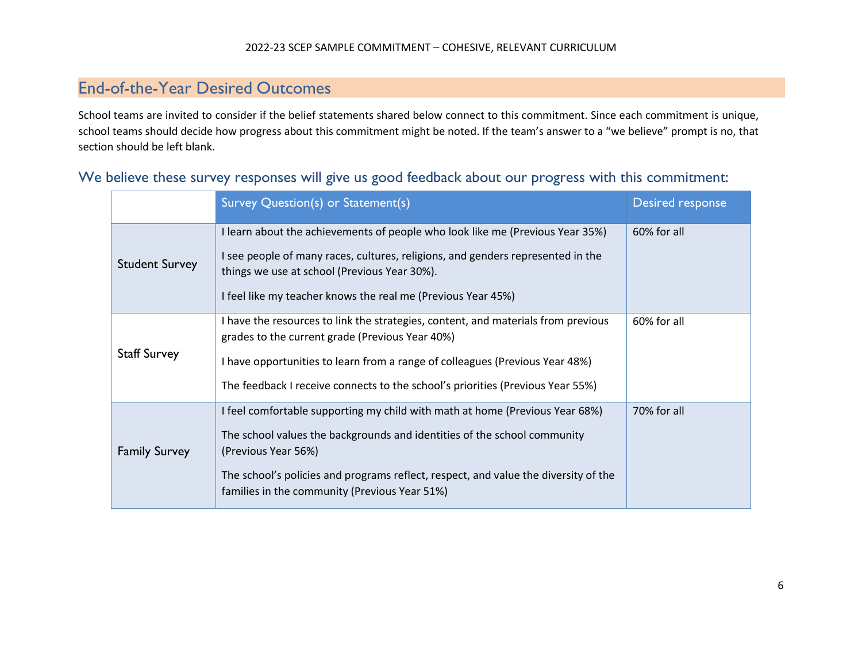### End-of-the-Year Desired Outcomes

School teams are invited to consider if the belief statements shared below connect to this commitment. Since each commitment is unique, school teams should decide how progress about this commitment might be noted. If the team's answer to a "we believe" prompt is no, that section should be left blank.

|                       | Survey Question(s) or Statement(s)                                                                                                                                                                                                                                                                                      | Desired response |
|-----------------------|-------------------------------------------------------------------------------------------------------------------------------------------------------------------------------------------------------------------------------------------------------------------------------------------------------------------------|------------------|
| <b>Student Survey</b> | I learn about the achievements of people who look like me (Previous Year 35%)<br>I see people of many races, cultures, religions, and genders represented in the<br>things we use at school (Previous Year 30%).<br>I feel like my teacher knows the real me (Previous Year 45%)                                        | 60% for all      |
| <b>Staff Survey</b>   | I have the resources to link the strategies, content, and materials from previous<br>grades to the current grade (Previous Year 40%)<br>I have opportunities to learn from a range of colleagues (Previous Year 48%)<br>The feedback I receive connects to the school's priorities (Previous Year 55%)                  | 60% for all      |
| <b>Family Survey</b>  | I feel comfortable supporting my child with math at home (Previous Year 68%)<br>The school values the backgrounds and identities of the school community<br>(Previous Year 56%)<br>The school's policies and programs reflect, respect, and value the diversity of the<br>families in the community (Previous Year 51%) | 70% for all      |

#### We believe these survey responses will give us good feedback about our progress with this commitment: